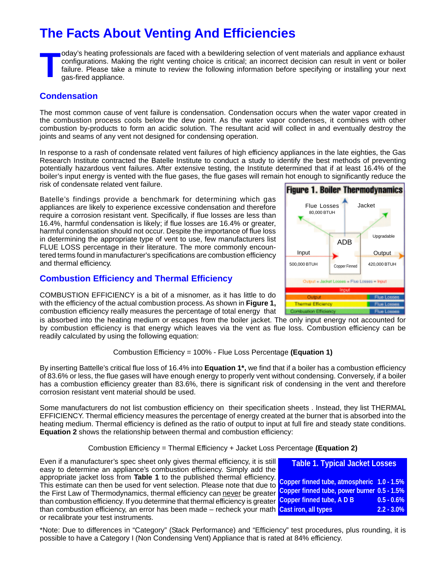# **The Facts About Venting And Efficiencies**

Today's heating professionals are faced with a bewildering selection of vent materials and appliance exhaust<br>configurations. Making the right venting choice is critical; an incorrect decision can result in vent or boiler<br>f configurations. Making the right venting choice is critical; an incorrect decision can result in vent or boiler failure. Please take a minute to review the following information before specifying or installing your next gas-fired appliance.

## **Condensation**

The most common cause of vent failure is condensation. Condensation occurs when the water vapor created in the combustion process cools below the dew point. As the water vapor condenses, it combines with other combustion by-products to form an acidic solution. The resultant acid will collect in and eventually destroy the joints and seams of any vent not designed for condensing operation.

In response to a rash of condensate related vent failures of high efficiency appliances in the late eighties, the Gas Research Institute contracted the Batelle Institute to conduct a study to identify the best methods of preventing potentially hazardous vent failures. After extensive testing, the Institute determined that if at least 16.4% of the boiler's input energy is vented with the flue gases, the flue gases will remain hot enough to significantly reduce the risk of condensate related vent failure.

Batelle's findings provide a benchmark for determining which gas appliances are likely to experience excessive condensation and therefore require a corrosion resistant vent. Specifically, if flue losses are less than 16.4%, harmful condensation is likely; if flue losses are 16.4% or greater, harmful condensation should not occur. Despite the importance of flue loss in determining the appropriate type of vent to use, few manufacturers list FLUE LOSS percentage in their literature. The more commonly encountered terms found in manufacturer's specifications are combustion efficiency and thermal efficiency.

## **Combustion Efficiency and Thermal Efficiency**

COMBUSTION EFFICIENCY is a bit of a misnomer, as it has little to do with the efficiency of the actual combustion process. As shown in **Figure 1,** combustion efficiency really measures the percentage of total energy that

is absorbed into the heating medium or escapes from the boiler jacket. The only input energy not accounted for by combustion efficiency is that energy which leaves via the vent as flue loss. Combustion efficiency can be readily calculated by using the following equation:

### Combustion Efficiency = 100% - Flue Loss Percentage **(Equation 1)**

By inserting Battelle's critical flue loss of 16.4% into **Equation 1\*,** we find that if a boiler has a combustion efficiency of 83.6% or less, the flue gases will have enough energy to properly vent without condensing. Conversely, if a boiler has a combustion efficiency greater than 83.6%, there is significant risk of condensing in the vent and therefore corrosion resistant vent material should be used.

Some manufacturers do not list combustion efficiency on their specification sheets . Instead, they list THERMAL EFFICIENCY. Thermal efficiency measures the percentage of energy created at the burner that is absorbed into the heating medium. Thermal efficiency is defined as the ratio of output to input at full fire and steady state conditions. **Equation 2** shows the relationship between thermal and combustion efficiency:

#### Combustion Efficiency = Thermal Efficiency + Jacket Loss Percentage **(Equation 2)**

Even if a manufacturer's spec sheet only gives thermal efficiency, it is still easy to determine an appliance's combustion efficiency. Simply add the appropriate jacket loss from **Table 1** to the published thermal efficiency. This estimate can then be used for vent selection. Please note that due to the First Law of Thermodynamics, thermal efficiency can never be greater than combustion efficiency. If you determine that thermal efficiency is greater Copper finned tube, A D B **0.5 - 0.6%** than combustion efficiency, an error has been made – recheck your math **Cast iron, all types 2.2 - 3.0%**or recalibrate your test instruments. **Table 1. Typical Jacket Losses Copper finned tube, atmospheric 1.0 - 1.5% Copper finned tube, power burner 0.5 - 1.5%**

\*Note: Due to differences in "Category" (Stack Performance) and "Efficiency" test procedures, plus rounding, it is possible to have a Category I (Non Condensing Vent) Appliance that is rated at 84% efficiency.